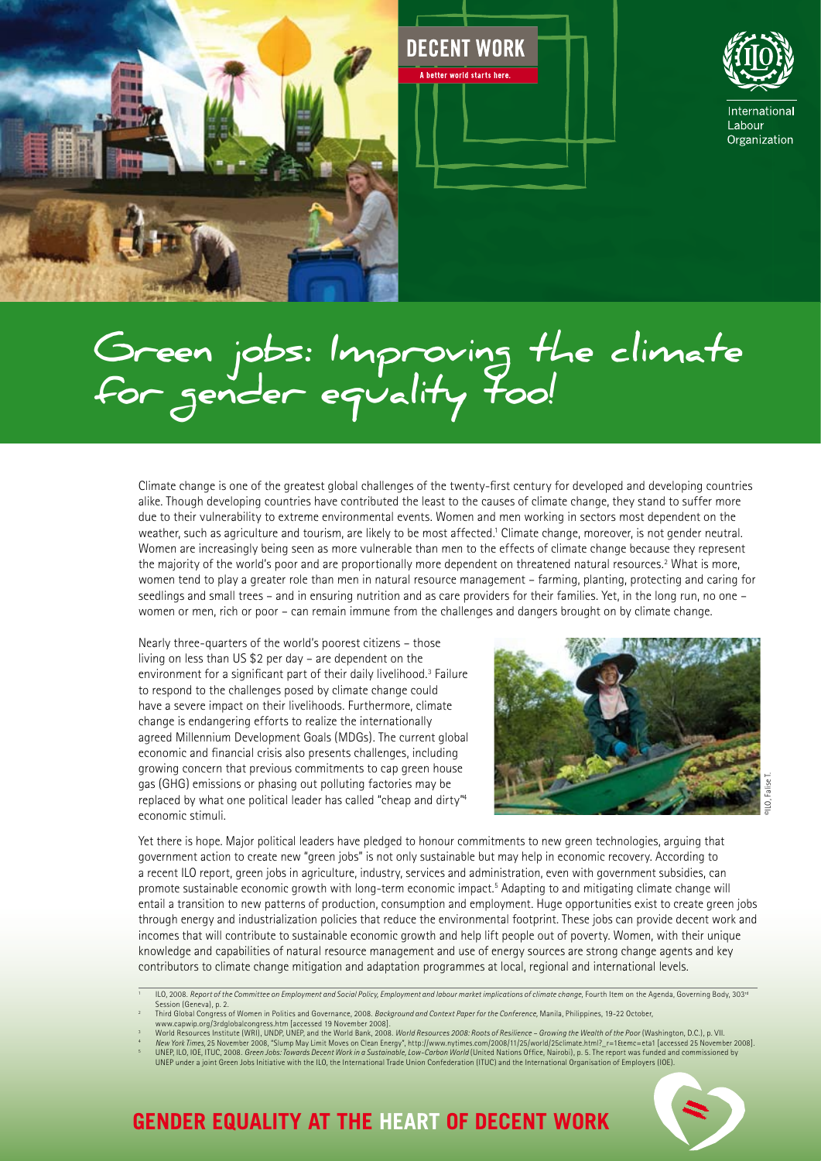





# **Green jobs: Improving the climate for gender equality too!**

Climate change is one of the greatest global challenges of the twenty-first century for developed and developing countries alike. Though developing countries have contributed the least to the causes of climate change, they stand to suffer more due to their vulnerability to extreme environmental events. Women and men working in sectors most dependent on the weather, such as agriculture and tourism, are likely to be most affected.<sup>1</sup> Climate change, moreover, is not gender neutral. Women are increasingly being seen as more vulnerable than men to the effects of climate change because they represent the majority of the world's poor and are proportionally more dependent on threatened natural resources.<sup>2</sup> What is more, women tend to play a greater role than men in natural resource management – farming, planting, protecting and caring for seedlings and small trees – and in ensuring nutrition and as care providers for their families. Yet, in the long run, no one – women or men, rich or poor – can remain immune from the challenges and dangers brought on by climate change.

Nearly three-quarters of the world's poorest citizens – those living on less than US \$2 per day – are dependent on the environment for a significant part of their daily livelihood.<sup>3</sup> Failure to respond to the challenges posed by climate change could have a severe impact on their livelihoods. Furthermore, climate change is endangering efforts to realize the internationally agreed Millennium Development Goals (MDGs). The current global economic and financial crisis also presents challenges, including growing concern that previous commitments to cap green house gas (GHG) emissions or phasing out polluting factories may be replaced by what one political leader has called "cheap and dirty"4 economic stimuli.



Yet there is hope. Major political leaders have pledged to honour commitments to new green technologies, arguing that government action to create new "green jobs" is not only sustainable but may help in economic recovery. According to a recent ILO report, green jobs in agriculture, industry, services and administration, even with government subsidies, can promote sustainable economic growth with long-term economic impact.<sup>5</sup> Adapting to and mitigating climate change will entail a transition to new patterns of production, consumption and employment. Huge opportunities exist to create green jobs through energy and industrialization policies that reduce the environmental footprint. These jobs can provide decent work and incomes that will contribute to sustainable economic growth and help lift people out of poverty. Women, with their unique knowledge and capabilities of natural resource management and use of energy sources are strong change agents and key contributors to climate change mitigation and adaptation programmes at local, regional and international levels.

3 4 New York Times, 25 November 2008, "Slump May Limit Moves on Clean Energy", http://www.nytimes.com/2008/11/25/world/25climate.html?\_r=1&emc=eta1 [accessed 25 November 2008]<br>UNEP, ILO, IOE, ITUC, 2008. *Green Jobs: Towards D* UNEP under a joint Green Jobs Initiative with the ILO, the International Trade Union Confederation (ITUC) and the International Organisation of Employers (IOE).



# **GENDER EQUALITY AT THE HEART OF DECENT WORK**

ILO, 2008. Report of the Committee on Employment and Social Policy, Employment and labour market implications of climate change, Fourth Item on the Agenda, Governing Body, 303<sup>rd</sup> Session (Geneval, p. 2.

<sup>2</sup> Third Global Congress of Women in Politics and Governance, 2008. *Background and Context Paper for the Conference,* Manila, Philippines, 19-22 October, www.capwip.org/3rdglobalcongress.htm [accessed 19 November 2008].<br>World Resources Institute (WRI), UNDP, UNEP, and the World Bank, 2008. *World Resources 2008: Roots of Resilience – Growing the Wealth of the Poor* (Washing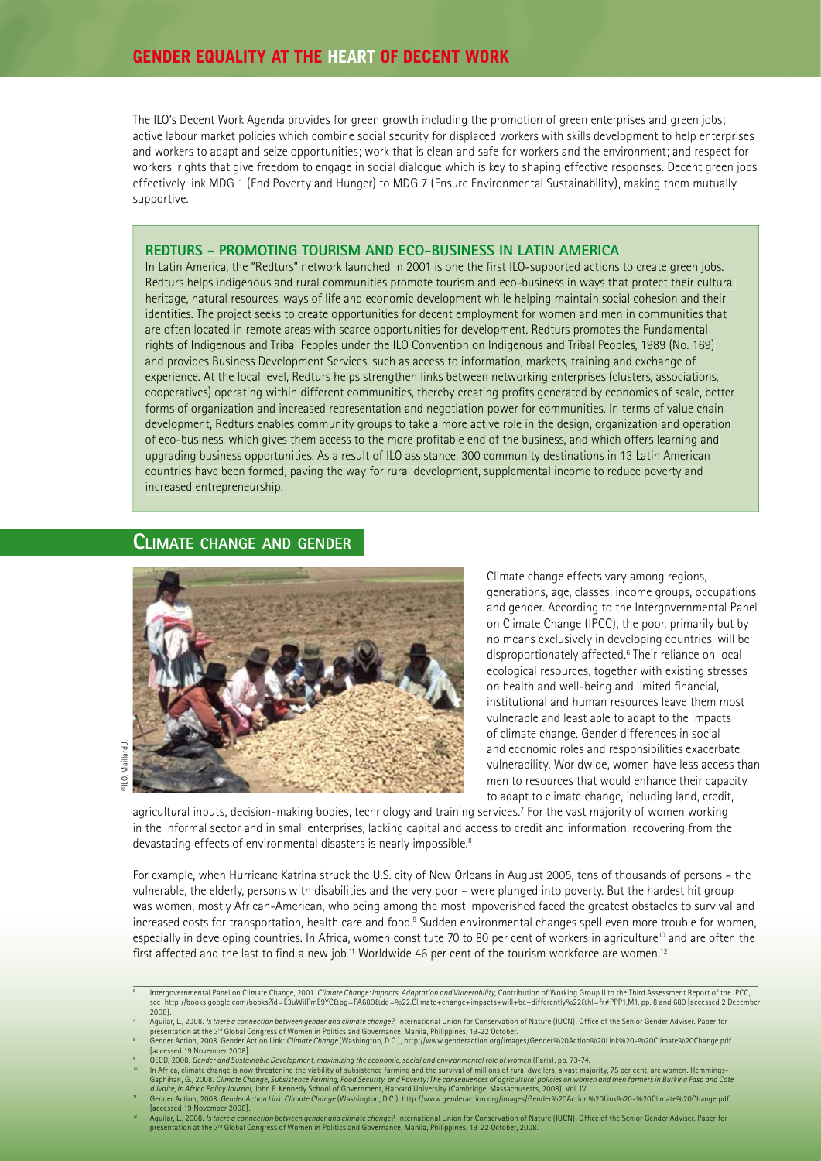The ILO's Decent Work Agenda provides for green growth including the promotion of green enterprises and green jobs; active labour market policies which combine social security for displaced workers with skills development to help enterprises and workers to adapt and seize opportunities; work that is clean and safe for workers and the environment; and respect for workers' rights that give freedom to engage in social dialogue which is key to shaping effective responses. Decent green jobs effectively link MDG 1 (End Poverty and Hunger) to MDG 7 (Ensure Environmental Sustainability), making them mutually supportive.

#### **REDTURS - PROMOTING TOURISM AND ECO-BUSINESS IN LATIN AMERICA**

In Latin America, the "Redturs" network launched in 2001 is one the first ILO-supported actions to create green jobs. Redturs helps indigenous and rural communities promote tourism and eco-business in ways that protect their cultural heritage, natural resources, ways of life and economic development while helping maintain social cohesion and their identities. The project seeks to create opportunities for decent employment for women and men in communities that are often located in remote areas with scarce opportunities for development. Redturs promotes the Fundamental rights of Indigenous and Tribal Peoples under the ILO Convention on Indigenous and Tribal Peoples, 1989 (No. 169) and provides Business Development Services, such as access to information, markets, training and exchange of experience. At the local level, Redturs helps strengthen links between networking enterprises (clusters, associations, cooperatives) operating within different communities, thereby creating profits generated by economies of scale, better forms of organization and increased representation and negotiation power for communities. In terms of value chain development, Redturs enables community groups to take a more active role in the design, organization and operation of eco-business, which gives them access to the more profi table end of the business, and which offers learning and upgrading business opportunities. As a result of ILO assistance, 300 community destinations in 13 Latin American countries have been formed, paving the way for rural development, supplemental income to reduce poverty and increased entrepreneurship.

#### **CLIMATE CHANGE AND GENDER**



Climate change effects vary among regions, generations, age, classes, income groups, occupations and gender. According to the Intergovernmental Panel on Climate Change (IPCC), the poor, primarily but by no means exclusively in developing countries, will be disproportionately affected.<sup>6</sup> Their reliance on local ecological resources, together with existing stresses on health and well-being and limited financial, institutional and human resources leave them most vulnerable and least able to adapt to the impacts of climate change. Gender differences in social and economic roles and responsibilities exacerbate vulnerability. Worldwide, women have less access than men to resources that would enhance their capacity to adapt to climate change, including land, credit,

agricultural inputs, decision-making bodies, technology and training services.7 For the vast majority of women working in the informal sector and in small enterprises, lacking capital and access to credit and information, recovering from the devastating effects of environmental disasters is nearly impossible.<sup>8</sup>

For example, when Hurricane Katrina struck the U.S. city of New Orleans in August 2005, tens of thousands of persons – the vulnerable, the elderly, persons with disabilities and the very poor – were plunged into poverty. But the hardest hit group was women, mostly African-American, who being among the most impoverished faced the greatest obstacles to survival and increased costs for transportation, health care and food.<sup>9</sup> Sudden environmental changes spell even more trouble for women, especially in developing countries. In Africa, women constitute 70 to 80 per cent of workers in agriculture<sup>10</sup> and are often the first affected and the last to find a new job.<sup>11</sup> Worldwide 46 per cent of the tourism workforce are women.<sup>12</sup>

<sup>6</sup> htergovernmental Panel on Climate Change, 2001. *Climate Change: Impacts, Adaptation and Vulnerability*, Contribution of Working Group II to the Third Assessment Report of the IPCC,<br>see: http://books.qooqle.com/books?id=E3 2008].

<sup>7</sup> Aguilar, L., 2008. Is there a connection between gender and climate change?, International Union for Conservation of Nature (IUCN), Office of the Senior Gender Adviser. Paper for presentation at the 3ª Global Congress of Women in Politics and Governance, Manila, Philippines, 19-22 October.<br>Gender Action, 2008. Gender Action Link: *Climate Change* (Washington, D.C.), http://www.genderaction.org/imag

<sup>8</sup> [accessed 19 November 2008].

<sup>9</sup> OECD, 2008. *Gender and Sustainable Development, maximizing the economic, social and environmental role of women* (Paris), pp. 73-74.

In Africa, climate change is now threatening the viability of subsistence farming and the survival of millions of rural dwellers, a vast majority, 75 per cent, are women. Hemmings-<br>Gaphihan, G., 2008. Climate Change, Subsi

Gender Action, 2008. Gender Action Link: Climate Change (Washington, D.C.), http://www.genderaction.org/images/Gender%20Action%20Link%20-%20Climate%20Change.pdf [accessed 19 November 2008].

Aguilar, L., 2008. *Is there a connection between gender and climate change?*, International Union for Conservation of Nature (IUCN), Office of the Senior Gender Adviser. Paper for presentation at the 3rd Global Congress of Women in Politics and Governance, Manila, Philippines, 19-22 October, 2008.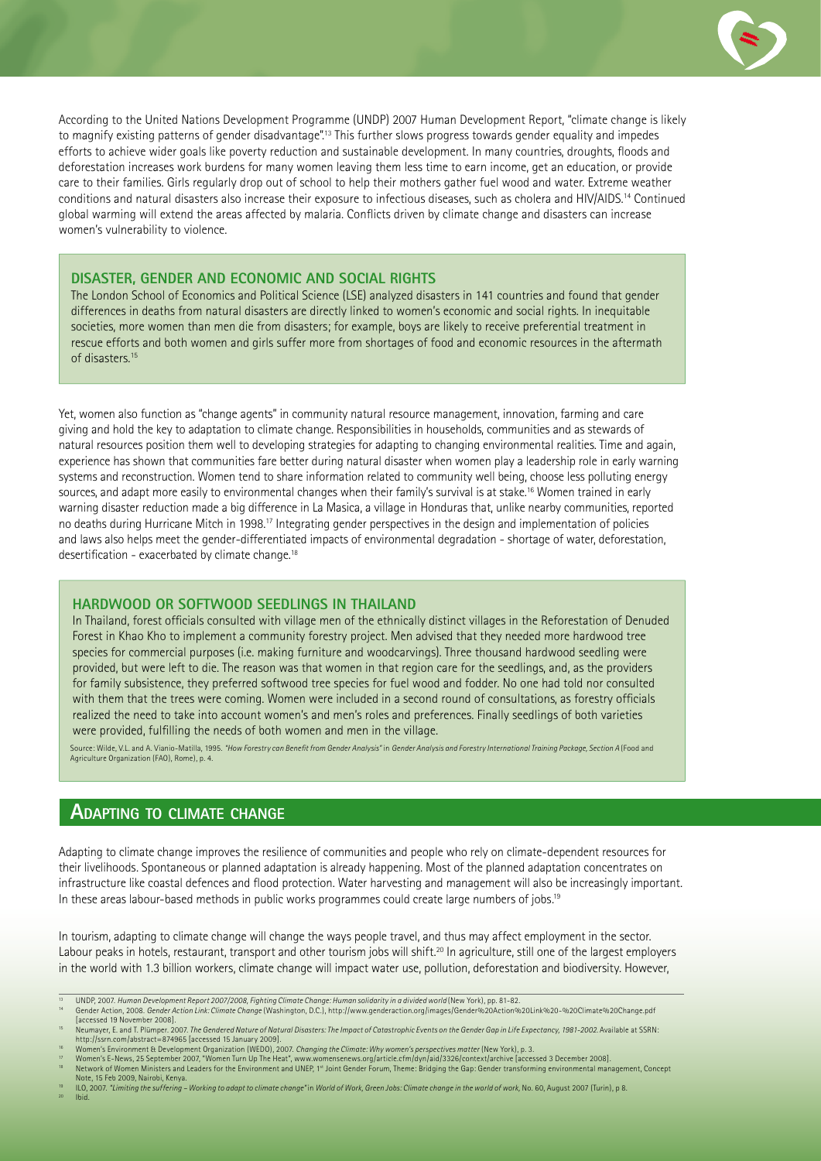

According to the United Nations Development Programme (UNDP) 2007 Human Development Report, "climate change is likely to magnify existing patterns of gender disadvantage".13 This further slows progress towards gender equality and impedes efforts to achieve wider goals like poverty reduction and sustainable development. In many countries, droughts, floods and deforestation increases work burdens for many women leaving them less time to earn income, get an education, or provide care to their families. Girls regularly drop out of school to help their mothers gather fuel wood and water. Extreme weather conditions and natural disasters also increase their exposure to infectious diseases, such as cholera and HIV/AIDS.14 Continued global warming will extend the areas affected by malaria. Conflicts driven by climate change and disasters can increase women's vulnerability to violence.

#### **DISASTER, GENDER AND ECONOMIC AND SOCIAL RIGHTS**

The London School of Economics and Political Science (LSE) analyzed disasters in 141 countries and found that gender differences in deaths from natural disasters are directly linked to women's economic and social rights. In inequitable societies, more women than men die from disasters; for example, boys are likely to receive preferential treatment in rescue efforts and both women and girls suffer more from shortages of food and economic resources in the aftermath of disasters.15

Yet, women also function as "change agents" in community natural resource management, innovation, farming and care giving and hold the key to adaptation to climate change. Responsibilities in households, communities and as stewards of natural resources position them well to developing strategies for adapting to changing environmental realities. Time and again, experience has shown that communities fare better during natural disaster when women play a leadership role in early warning systems and reconstruction. Women tend to share information related to community well being, choose less polluting energy sources, and adapt more easily to environmental changes when their family's survival is at stake.16 Women trained in early warning disaster reduction made a big difference in La Masica, a village in Honduras that, unlike nearby communities, reported no deaths during Hurricane Mitch in 1998.17 Integrating gender perspectives in the design and implementation of policies and laws also helps meet the gender-differentiated impacts of environmental degradation - shortage of water, deforestation, desertification - exacerbated by climate change.<sup>18</sup>

#### **HARDWOOD OR SOFTWOOD SEEDLINGS IN THAILAND**

In Thailand, forest officials consulted with village men of the ethnically distinct villages in the Reforestation of Denuded Forest in Khao Kho to implement a community forestry project. Men advised that they needed more hardwood tree species for commercial purposes (i.e. making furniture and woodcarvings). Three thousand hardwood seedling were provided, but were left to die. The reason was that women in that region care for the seedlings, and, as the providers for family subsistence, they preferred softwood tree species for fuel wood and fodder. No one had told nor consulted with them that the trees were coming. Women were included in a second round of consultations, as forestry officials realized the need to take into account women's and men's roles and preferences. Finally seedlings of both varieties were provided, fulfilling the needs of both women and men in the village.

Source: Wilde, V.L. and A. Vianio-Matilla, 1995. *"How Forestry can Benefi t from Gender Analysis"* in *Gender Analysis and Forestry International Training Package, Section A* (Food and Agriculture Organization (FAO), Rome), p. 4.

### **ADAPTING TO CLIMATE CHANGE**

Adapting to climate change improves the resilience of communities and people who rely on climate-dependent resources for their livelihoods. Spontaneous or planned adaptation is already happening. Most of the planned adaptation concentrates on infrastructure like coastal defences and flood protection. Water harvesting and management will also be increasingly important. In these areas labour-based methods in public works programmes could create large numbers of jobs.<sup>19</sup>

In tourism, adapting to climate change will change the ways people travel, and thus may affect employment in the sector. Labour peaks in hotels, restaurant, transport and other tourism jobs will shift.<sup>20</sup> In agriculture, still one of the largest employers in the world with 1.3 billion workers, climate change will impact water use, pollution, deforestation and biodiversity. However,

- Note, 15 Feb 2009, Nairobi, Kenya.<br>ILO, 2007. *"Limiting the suffering Working to adapt to climate change"* in *World of Work, Green Jobs: Climate change in the world of work,* No. 60, August 2007 (Turin), p 8.
- 20 Ibid.

<sup>13</sup> UNDP, 2007. *Human Development Report 2007/2008, Fighting Climate Change: Human solidarity in a divided world (*New York), pp. 81-82.<br><sup>14</sup> Gender Action, 2008. *Gender Action Link: Climate Change (W*ashington,

<sup>[</sup>accessed 19 November 2008]. 15 Neumayer, E. and T. Plümper. 2007. *The Gendered Nature of Natural Disasters: The Impact of Catastrophic Events on the Gender Gap in Life Expectancy, 1981-2002.* Available at SSRN:

http://ssrn.com/abstract=874965 [accessed 15 January 2009]. 16 Women's Environment & Development Organization (WEDO), 2007. *Changing the Climate: Why women's perspectives matter* (New York), p. 3.

<sup>&</sup>quot; Women's E-News, 25 September 2007, "Women Turn Up The Heat", www.womensenews.org/article.cfm/dyn/aid/3326/context/archive [accessed 3 December 2008].<br><sup>18</sup> Network of Women Ministers and Leaders for the Environment and UN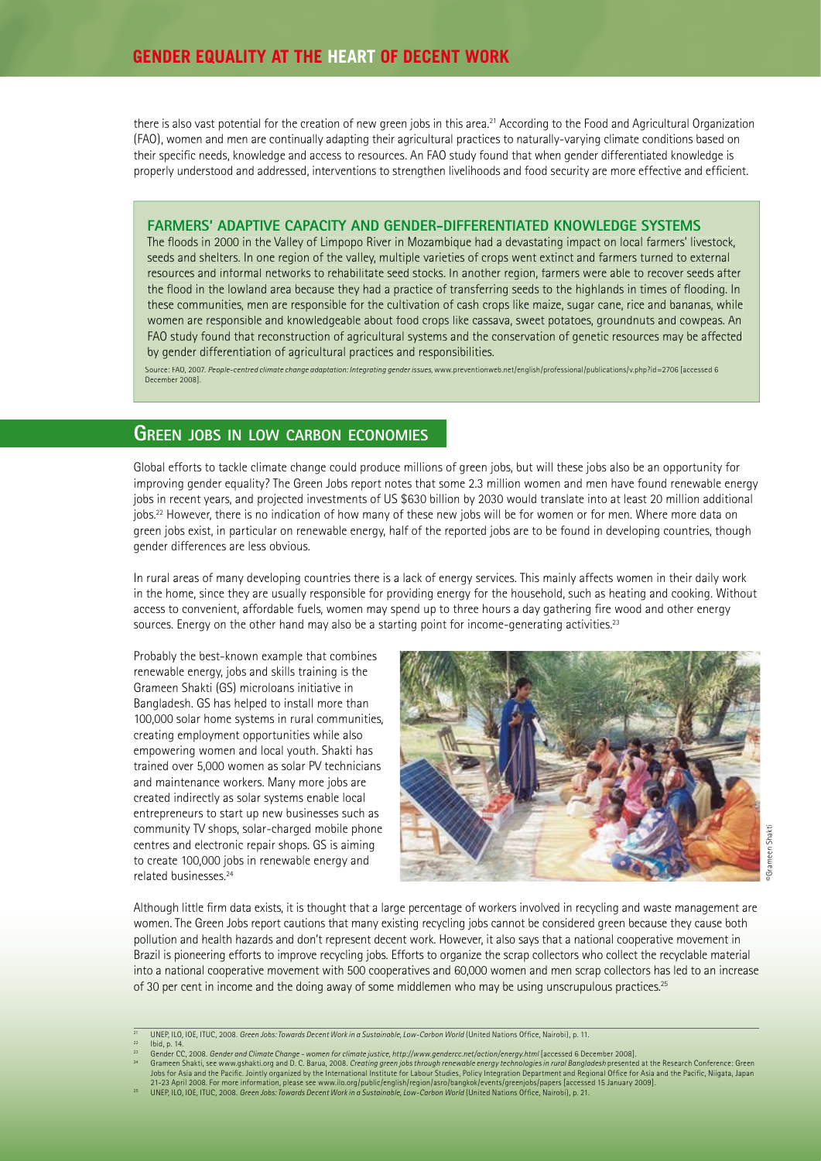there is also vast potential for the creation of new green jobs in this area.<sup>21</sup> According to the Food and Agricultural Organization (FAO), women and men are continually adapting their agricultural practices to naturally-varying climate conditions based on their specific needs, knowledge and access to resources. An FAO study found that when gender differentiated knowledge is properly understood and addressed, interventions to strengthen livelihoods and food security are more effective and efficient.

#### **FARMERS' ADAPTIVE CAPACITY AND GENDER-DIFFERENTIATED KNOWLEDGE SYSTEMS**

The floods in 2000 in the Valley of Limpopo River in Mozambique had a devastating impact on local farmers' livestock, seeds and shelters. In one region of the valley, multiple varieties of crops went extinct and farmers turned to external resources and informal networks to rehabilitate seed stocks. In another region, farmers were able to recover seeds after the flood in the lowland area because they had a practice of transferring seeds to the highlands in times of flooding. In these communities, men are responsible for the cultivation of cash crops like maize, sugar cane, rice and bananas, while women are responsible and knowledgeable about food crops like cassava, sweet potatoes, groundnuts and cowpeas. An FAO study found that reconstruction of agricultural systems and the conservation of genetic resources may be affected by gender differentiation of agricultural practices and responsibilities.

Source: FAO, 2007. People-centred climate change adaptation: Integrating gender issues, www.preventionweb.net/english/professional/publications/v.php?id=2706 [accessed 6 December 2008].

#### **GREEN JOBS IN LOW CARBON ECONOMIES**

Global efforts to tackle climate change could produce millions of green jobs, but will these jobs also be an opportunity for improving gender equality? The Green Jobs report notes that some 2.3 million women and men have found renewable energy jobs in recent years, and projected investments of US \$630 billion by 2030 would translate into at least 20 million additional jobs.<sup>22</sup> However, there is no indication of how many of these new jobs will be for women or for men. Where more data on green jobs exist, in particular on renewable energy, half of the reported jobs are to be found in developing countries, though gender differences are less obvious.

In rural areas of many developing countries there is a lack of energy services. This mainly affects women in their daily work in the home, since they are usually responsible for providing energy for the household, such as heating and cooking. Without access to convenient, affordable fuels, women may spend up to three hours a day gathering fire wood and other energy sources. Energy on the other hand may also be a starting point for income-generating activities.<sup>23</sup>

Probably the best-known example that combines renewable energy, jobs and skills training is the Grameen Shakti (GS) microloans initiative in Bangladesh. GS has helped to install more than 100,000 solar home systems in rural communities, creating employment opportunities while also empowering women and local youth. Shakti has trained over 5,000 women as solar PV technicians and maintenance workers. Many more jobs are created indirectly as solar systems enable local entrepreneurs to start up new businesses such as community TV shops, solar-charged mobile phone centres and electronic repair shops. GS is aiming to create 100,000 jobs in renewable energy and related businesses.24



Although little firm data exists, it is thought that a large percentage of workers involved in recycling and waste management are women. The Green Jobs report cautions that many existing recycling jobs cannot be considered green because they cause both pollution and health hazards and don't represent decent work. However, it also says that a national cooperative movement in Brazil is pioneering efforts to improve recycling jobs. Efforts to organize the scrap collectors who collect the recyclable material into a national cooperative movement with 500 cooperatives and 60,000 women and men scrap collectors has led to an increase of 30 per cent in income and the doing away of some middlemen who may be using unscrupulous practices.<sup>25</sup>

UNEP, ILO, IOE, ITUC, 2008. *Green Jobs: Towards Decent Work in a Sustainable, Low-Carbon World* (United Nations Office, Nairobi), p. 11.<br>Ibid, p. 14.

lbid, p. 14.<br>
Gramen Shakti, see www.gshakti.org and D. C. Barua, 2008. Creating green jobs through renewable energy technologies in rural Bangladesh presented at the Research Conference: Green<br>
Gramen Shakti, see www.gsha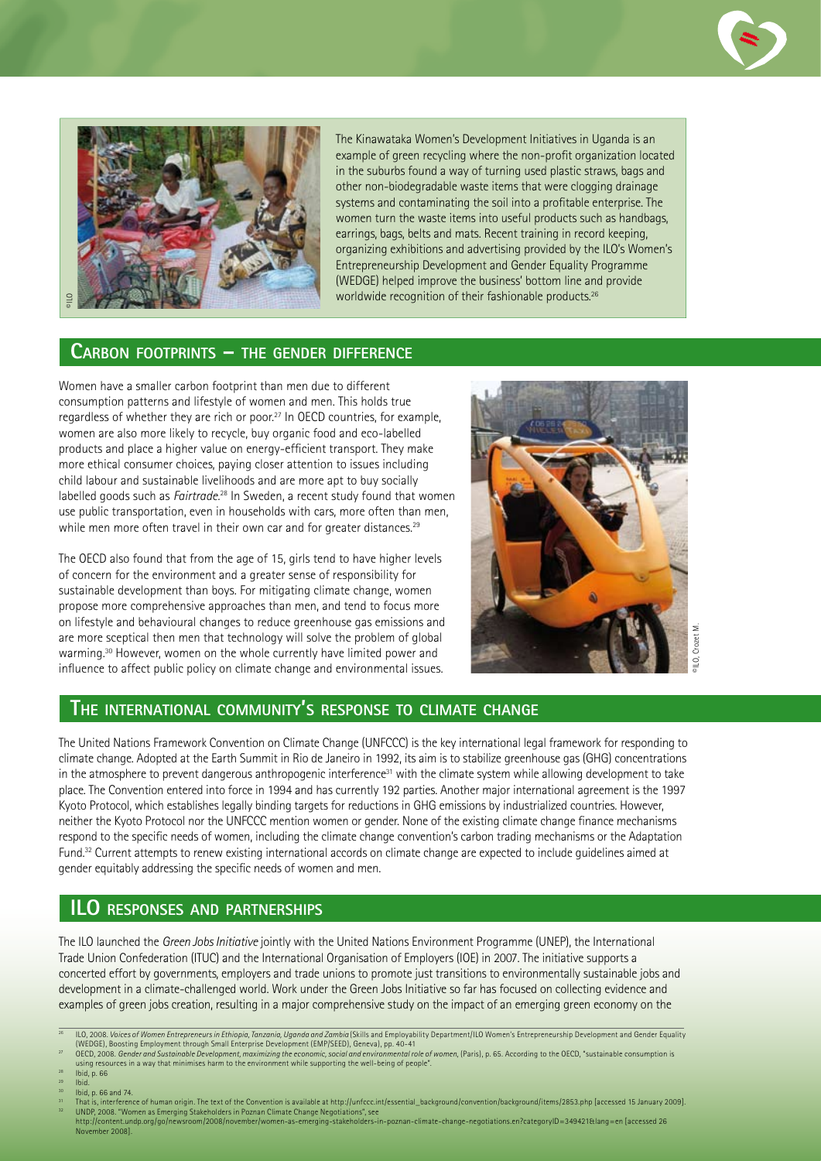



The Kinawataka Women's Development Initiatives in Uganda is an example of green recycling where the non-profit organization located in the suburbs found a way of turning used plastic straws, bags and other non-biodegradable waste items that were clogging drainage systems and contaminating the soil into a profitable enterprise. The women turn the waste items into useful products such as handbags, earrings, bags, belts and mats. Recent training in record keeping, organizing exhibitions and advertising provided by the ILO's Women's Entrepreneurship Development and Gender Equality Programme (WEDGE) helped improve the business' bottom line and provide worldwide recognition of their fashionable products.<sup>26</sup>

#### **CARBON FOOTPRINTS – THE GENDER DIFFERENCE**

Women have a smaller carbon footprint than men due to different consumption patterns and lifestyle of women and men. This holds true regardless of whether they are rich or poor.27 In OECD countries, for example, women are also more likely to recycle, buy organic food and eco-labelled products and place a higher value on energy-efficient transport. They make more ethical consumer choices, paying closer attention to issues including child labour and sustainable livelihoods and are more apt to buy socially labelled goods such as *Fairtrade.*28 In Sweden, a recent study found that women use public transportation, even in households with cars, more often than men, while men more often travel in their own car and for greater distances.<sup>29</sup>

The OECD also found that from the age of 15, girls tend to have higher levels of concern for the environment and a greater sense of responsibility for sustainable development than boys. For mitigating climate change, women propose more comprehensive approaches than men, and tend to focus more on lifestyle and behavioural changes to reduce greenhouse gas emissions and are more sceptical then men that technology will solve the problem of global warming.30 However, women on the whole currently have limited power and influence to affect public policy on climate change and environmental issues.



#### **THE INTERNATIONAL COMMUNITY'S RESPONSE TO CLIMATE CHANGE**

The United Nations Framework Convention on Climate Change (UNFCCC) is the key international legal framework for responding to climate change. Adopted at the Earth Summit in Rio de Janeiro in 1992, its aim is to stabilize greenhouse gas (GHG) concentrations in the atmosphere to prevent dangerous anthropogenic interference<sup>31</sup> with the climate system while allowing development to take place. The Convention entered into force in 1994 and has currently 192 parties. Another major international agreement is the 1997 Kyoto Protocol, which establishes legally binding targets for reductions in GHG emissions by industrialized countries. However, neither the Kyoto Protocol nor the UNFCCC mention women or gender. None of the existing climate change finance mechanisms respond to the specific needs of women, including the climate change convention's carbon trading mechanisms or the Adaptation Fund.32 Current attempts to renew existing international accords on climate change are expected to include guidelines aimed at gender equitably addressing the specific needs of women and men.

# **ILO RESPONSES AND PARTNERSHIPS**

The ILO launched the *Green Jobs Initiative* jointly with the United Nations Environment Programme (UNEP), the International Trade Union Confederation (ITUC) and the International Organisation of Employers (IOE) in 2007. The initiative supports a concerted effort by governments, employers and trade unions to promote just transitions to environmentally sustainable jobs and development in a climate-challenged world. Work under the Green Jobs Initiative so far has focused on collecting evidence and examples of green jobs creation, resulting in a major comprehensive study on the impact of an emerging green economy on the

- 27 OECD, 2008. *Gender and Sustainable Development, maximizing the economic, social and environmental role of women,* (Paris), p. 65. According to the OECD, "sustainable consumption is using resources in a way that minimises harm to the environment while supporting the well-being of people".
- 28 Ibid, p. 66
- 
- <sup>29</sup> Ibid.<br><sup>30</sup> Ibid, p. 66 and 74.

<sup>26</sup> ILO, 2008. *Voices of Women Entrepreneurs in Ethiopia, Tanzania, Uganda and Zambia* (Skills and Employability Department/ILO Women's Entrepreneurship Development and Gender Equality (WEDGE), Boosting Employment through Small Enterprise Development (EMP/SEED), Geneva), pp. 40-41

<sup>&</sup>lt;sup>31</sup> That is, interference of human origin. The text of the Convention is available at http://unfccc.int/essential\_background/convention/background/items/2853.php [accessed 15 January 2009].<br><sup>32</sup> UNDP, 2008. "Women as Emer http://content.undp.org/go/newsroom/2008/november/women-as-emerging-stakeholders-in-poznan-climate-change-negotiations.en?categoryID=349421&lang=en [accessed 26 November 2008].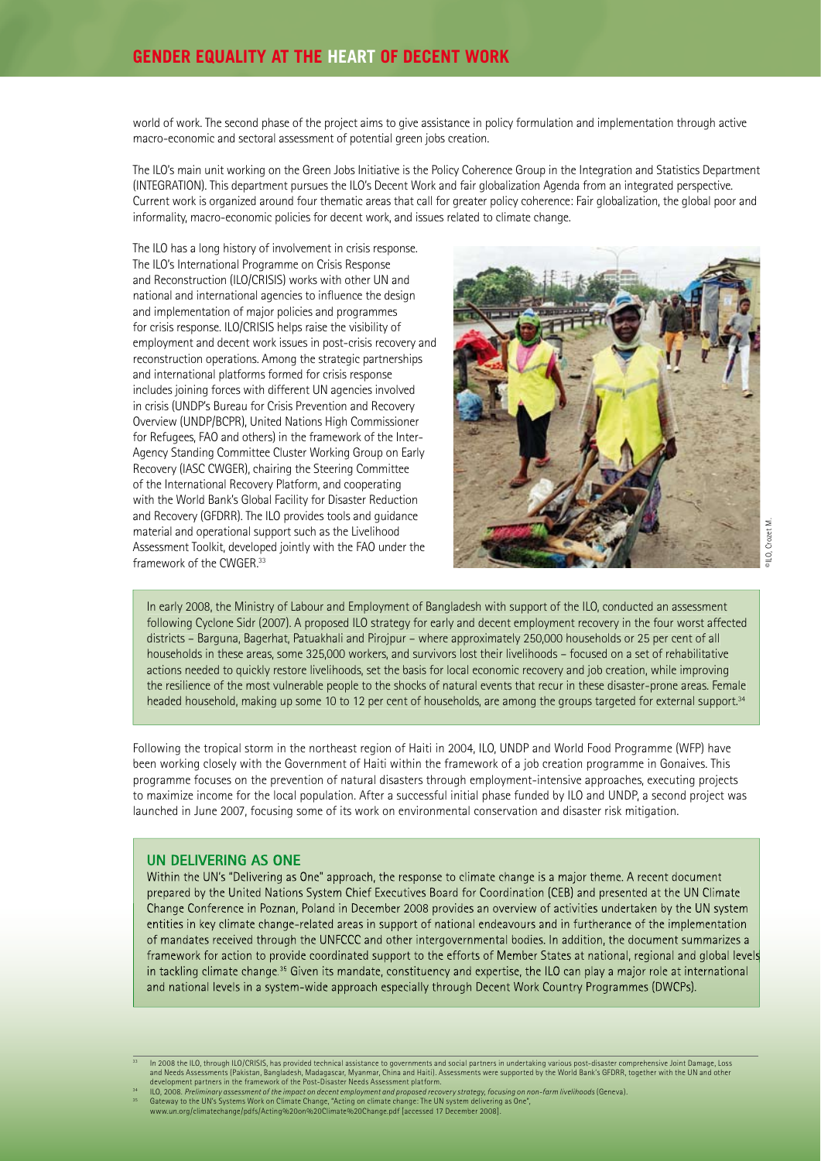world of work. The second phase of the project aims to give assistance in policy formulation and implementation through active macro-economic and sectoral assessment of potential green jobs creation.

The ILO's main unit working on the Green Jobs Initiative is the Policy Coherence Group in the Integration and Statistics Department (INTEGRATION). This department pursues the ILO's Decent Work and fair globalization Agenda from an integrated perspective. Current work is organized around four thematic areas that call for greater policy coherence: Fair globalization, the global poor and informality, macro-economic policies for decent work, and issues related to climate change.

The ILO has a long history of involvement in crisis response. The ILO's International Programme on Crisis Response and Reconstruction (ILO/CRISIS) works with other UN and national and international agencies to influence the design and implementation of major policies and programmes for crisis response. ILO/CRISIS helps raise the visibility of employment and decent work issues in post-crisis recovery and reconstruction operations. Among the strategic partnerships and international platforms formed for crisis response includes joining forces with different UN agencies involved in crisis (UNDP's Bureau for Crisis Prevention and Recovery Overview (UNDP/BCPR), United Nations High Commissioner for Refugees, FAO and others) in the framework of the Inter-Agency Standing Committee Cluster Working Group on Early Recovery (IASC CWGER), chairing the Steering Committee of the International Recovery Platform, and cooperating with the World Bank's Global Facility for Disaster Reduction and Recovery (GFDRR). The ILO provides tools and guidance material and operational support such as the Livelihood Assessment Toolkit, developed jointly with the FAO under the framework of the CWGER.33



©ILO, Crozet M.PILO, Crozet

In early 2008, the Ministry of Labour and Employment of Bangladesh with support of the ILO, conducted an assessment following Cyclone Sidr (2007). A proposed ILO strategy for early and decent employment recovery in the four worst affected districts – Barguna, Bagerhat, Patuakhali and Pirojpur – where approximately 250,000 households or 25 per cent of all households in these areas, some 325,000 workers, and survivors lost their livelihoods – focused on a set of rehabilitative actions needed to quickly restore livelihoods, set the basis for local economic recovery and job creation, while improving the resilience of the most vulnerable people to the shocks of natural events that recur in these disaster-prone areas. Female headed household, making up some 10 to 12 per cent of households, are among the groups targeted for external support.34

Following the tropical storm in the northeast region of Haiti in 2004, ILO, UNDP and World Food Programme (WFP) have been working closely with the Government of Haiti within the framework of a job creation programme in Gonaives. This programme focuses on the prevention of natural disasters through employment-intensive approaches, executing projects to maximize income for the local population. After a successful initial phase funded by ILO and UNDP, a second project was launched in June 2007, focusing some of its work on environmental conservation and disaster risk mitigation.

#### **UN DELIVERING AS ONE**

Within the UN's "Delivering as One" approach, the response to climate change is a major theme. A recent document prepared by the United Nations System Chief Executives Board for Coordination (CEB) and presented at the UN Climate Change Conference in Poznan, Poland in December 2008 provides an overview of activities undertaken by the UN system entities in key climate change-related areas in support of national endeavours and in furtherance of the implementation of mandates received through the UNFCCC and other intergovernmental bodies. In addition, the document summarizes a framework for action to provide coordinated support to the efforts of Member States at national, regional and global levels in tackling climate change.<sup>35</sup> Given its mandate, constituency and expertise, the ILO can play a major role at international and national levels in a system-wide approach especially through Decent Work Country Programmes (DWCPs).

In 2008 the ILO, through ILO/CRISIS, has provided technical assistance to governments and social partners in undertaking various post-disaster comprehensive Joint Damage, Loss<br>and Needs Assessments (Pakistan, Bangladesh, M development partners in the framework of the Post-Disaster Needs Assessment platform.

<sup>&</sup>lt;sup>34</sup> ILO, 2008. *Preliminary assessment of the impact on decent employment and proposed recovery strategy, focusing on non-farm livelihoods (Geneva).<br><sup>35</sup> Gateway to the UN's Systems Work on Climate Change, "Acti*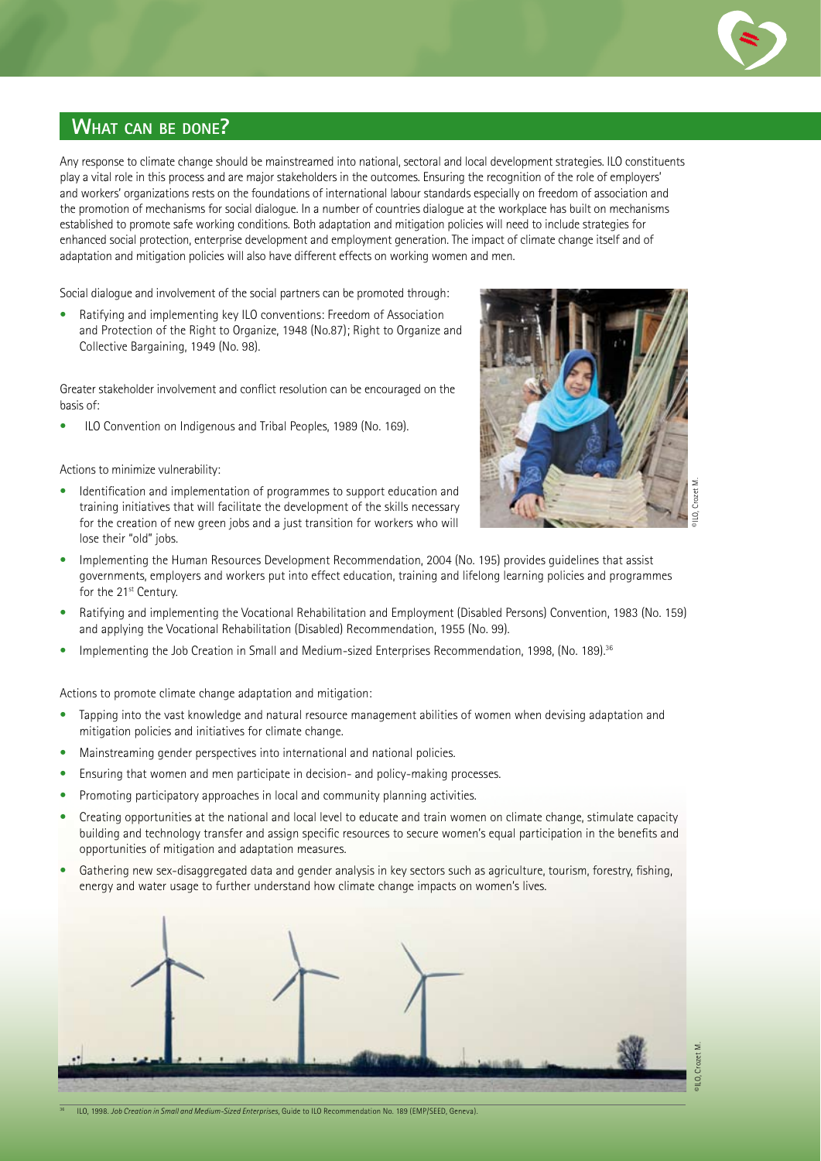

# **WHAT CAN BE DONE?**

Any response to climate change should be mainstreamed into national, sectoral and local development strategies. ILO constituents play a vital role in this process and are major stakeholders in the outcomes. Ensuring the recognition of the role of employers' and workers' organizations rests on the foundations of international labour standards especially on freedom of association and the promotion of mechanisms for social dialogue. In a number of countries dialogue at the workplace has built on mechanisms established to promote safe working conditions. Both adaptation and mitigation policies will need to include strategies for enhanced social protection, enterprise development and employment generation. The impact of climate change itself and of adaptation and mitigation policies will also have different effects on working women and men.

Social dialogue and involvement of the social partners can be promoted through:

• Ratifying and implementing key ILO conventions: Freedom of Association and Protection of the Right to Organize, 1948 (No.87); Right to Organize and Collective Bargaining, 1949 (No. 98).

Greater stakeholder involvement and conflict resolution can be encouraged on the basis of:

• ILO Convention on Indigenous and Tribal Peoples, 1989 (No. 169).

Actions to minimize vulnerability:

Identification and implementation of programmes to support education and training initiatives that will facilitate the development of the skills necessary for the creation of new green jobs and a just transition for workers who will lose their "old" jobs.



- Implementing the Human Resources Development Recommendation, 2004 (No. 195) provides guidelines that assist governments, employers and workers put into effect education, training and lifelong learning policies and programmes for the 21<sup>st</sup> Century.
- Ratifying and implementing the Vocational Rehabilitation and Employment (Disabled Persons) Convention, 1983 (No. 159) and applying the Vocational Rehabilitation (Disabled) Recommendation, 1955 (No. 99).
- Implementing the Job Creation in Small and Medium-sized Enterprises Recommendation, 1998, (No. 189).<sup>36</sup>

Actions to promote climate change adaptation and mitigation:

- Tapping into the vast knowledge and natural resource management abilities of women when devising adaptation and mitigation policies and initiatives for climate change.
- Mainstreaming gender perspectives into international and national policies.
- Ensuring that women and men participate in decision- and policy-making processes.
- Promoting participatory approaches in local and community planning activities.
- Creating opportunities at the national and local level to educate and train women on climate change, stimulate capacity building and technology transfer and assign specific resources to secure women's equal participation in the benefits and opportunities of mitigation and adaptation measures.
- Gathering new sex-disaggregated data and gender analysis in key sectors such as agriculture, tourism, forestry, fishing, energy and water usage to further understand how climate change impacts on women's lives.



©ILO, Crozet M.

36 ILO, 1998. *Job Creation in Small and Medium-Sized Enterprises,* Guide to ILO Recommendation No. 189 (EMP/SEED, Geneva).